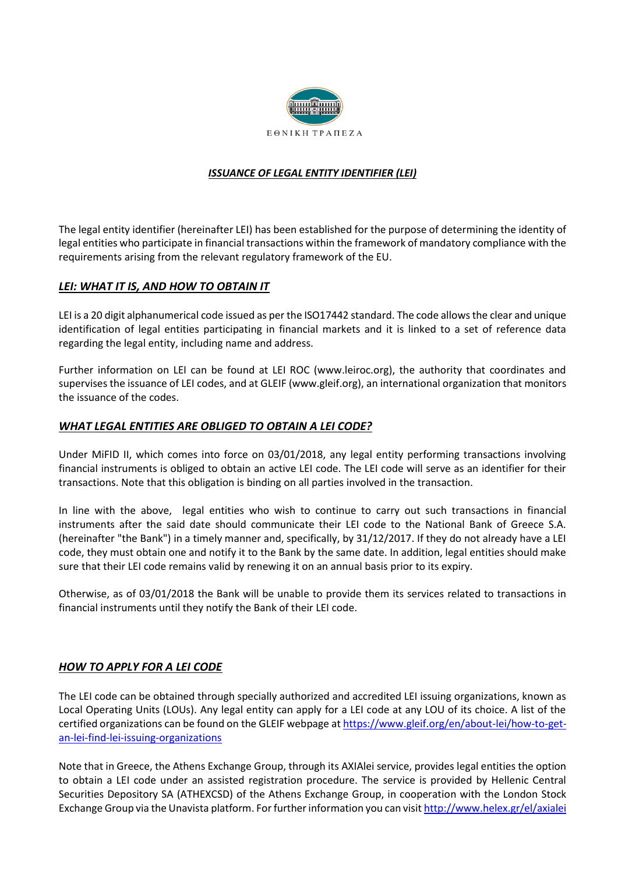

## *ISSUANCE OF LEGAL ENTITY IDENTIFIER (LEI)*

The legal entity identifier (hereinafter LEI) has been established for the purpose of determining the identity of legal entities who participate in financial transactions within the framework of mandatory compliance with the requirements arising from the relevant regulatory framework of the EU.

## *LEI: WHAT IT IS, AND HOW TO OBTAIN IT*

LEI is a 20 digit alphanumerical code issued as per the ISO17442 standard. The code allows the clear and unique identification of legal entities participating in financial markets and it is linked to a set of reference data regarding the legal entity, including name and address.

Further information on LEI can be found at LEI ROC (www.leiroc.org), the authority that coordinates and supervises the issuance of LEI codes, and at GLEIF [\(www.gleif.org\)](http://www.gleif.org/), an international organization that monitors the issuance of the codes.

## *WHAT LEGAL ENTITIES ARE OBLIGED TO OBTAIN A LEI CODE?*

Under MiFID II, which comes into force on 03/01/2018, any legal entity performing transactions involving financial instruments is obliged to obtain an active LEI code. The LEI code will serve as an identifier for their transactions. Note that this obligation is binding on all parties involved in the transaction.

In line with the above, legal entities who wish to continue to carry out such transactions in financial instruments after the said date should communicate their LEI code to the National Bank of Greece S.A. (hereinafter "the Bank") in a timely manner and, specifically, by 31/12/2017. If they do not already have a LEI code, they must obtain one and notify it to the Bank by the same date. In addition, legal entities should make sure that their LEI code remains valid by renewing it on an annual basis prior to its expiry.

Otherwise, as of 03/01/2018 the Bank will be unable to provide them its services related to transactions in financial instruments until they notify the Bank of their LEI code.

## *HOW TO APPLY FOR A LEI CODE*

The LEI code can be obtained through specially authorized and accredited LEI issuing organizations, known as Local Operating Units (LOUs). Any legal entity can apply for a LEI code at any LOU of its choice. A list of the certified organizations can be found on the GLEIF webpage a[t https://www.gleif.org/en/about-lei/how-to-get](https://www.gleif.org/en/about-lei/how-to-get-an-lei-find-lei-issuing-organizations)[an-lei-find-lei-issuing-organizations](https://www.gleif.org/en/about-lei/how-to-get-an-lei-find-lei-issuing-organizations)

Note that in Greece, the Athens Exchange Group, through its ΑΧΙΑlei service, provides legal entities the option to obtain a LEI code under an assisted registration procedure. The service is provided by Hellenic Central Securities Depository SA (ATHEXCSD) of the Athens Exchange Group, in cooperation with the London Stock Exchange Group via the Unavista platform. For further information you can visi[t http://www.helex.gr/el/axialei](http://www.helex.gr/el/axialei)